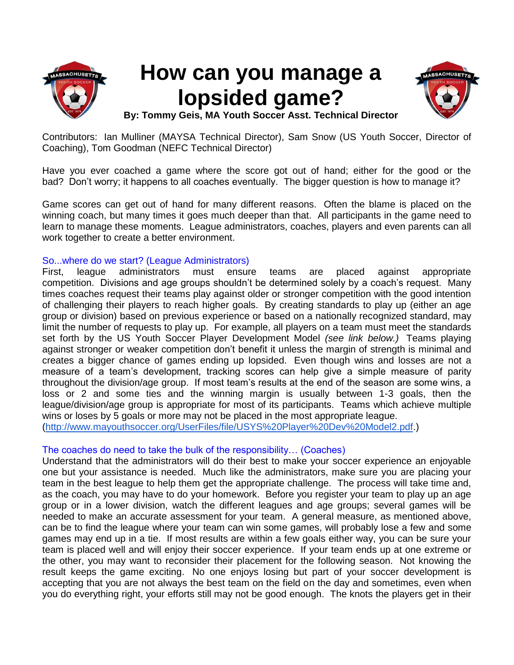

# **How can you manage a lopsided game?**



**By: Tommy Geis, MA Youth Soccer Asst. Technical Director**

Contributors: Ian Mulliner (MAYSA Technical Director), Sam Snow (US Youth Soccer, Director of Coaching), Tom Goodman (NEFC Technical Director)

Have you ever coached a game where the score got out of hand; either for the good or the bad? Don't worry; it happens to all coaches eventually. The bigger question is how to manage it?

Game scores can get out of hand for many different reasons. Often the blame is placed on the winning coach, but many times it goes much deeper than that. All participants in the game need to learn to manage these moments. League administrators, coaches, players and even parents can all work together to create a better environment.

# So...where do we start? (League Administrators)

First, league administrators must ensure teams are placed against appropriate competition. Divisions and age groups shouldn't be determined solely by a coach's request. Many times coaches request their teams play against older or stronger competition with the good intention of challenging their players to reach higher goals. By creating standards to play up (either an age group or division) based on previous experience or based on a nationally recognized standard, may limit the number of requests to play up. For example, all players on a team must meet the standards set forth by the US Youth Soccer Player Development Model *(see link below.)* Teams playing against stronger or weaker competition don't benefit it unless the margin of strength is minimal and creates a bigger chance of games ending up lopsided. Even though wins and losses are not a measure of a team's development, tracking scores can help give a simple measure of parity throughout the division/age group. If most team's results at the end of the season are some wins, a loss or 2 and some ties and the winning margin is usually between 1-3 goals, then the league/division/age group is appropriate for most of its participants. Teams which achieve multiple wins or loses by 5 goals or more may not be placed in the most appropriate league. [\(http://www.mayouthsoccer.org/UserFiles/file/USYS%20Player%20Dev%20Model2.pdf.](http://www.mayouthsoccer.org/UserFiles/file/USYS%20Player%20Dev%20Model2.pdf))

# The coaches do need to take the bulk of the responsibility… (Coaches)

Understand that the administrators will do their best to make your soccer experience an enjoyable one but your assistance is needed. Much like the administrators, make sure you are placing your team in the best league to help them get the appropriate challenge. The process will take time and, as the coach, you may have to do your homework. Before you register your team to play up an age group or in a lower division, watch the different leagues and age groups; several games will be needed to make an accurate assessment for your team. A general measure, as mentioned above, can be to find the league where your team can win some games, will probably lose a few and some games may end up in a tie. If most results are within a few goals either way, you can be sure your team is placed well and will enjoy their soccer experience. If your team ends up at one extreme or the other, you may want to reconsider their placement for the following season. Not knowing the result keeps the game exciting. No one enjoys losing but part of your soccer development is accepting that you are not always the best team on the field on the day and sometimes, even when you do everything right, your efforts still may not be good enough. The knots the players get in their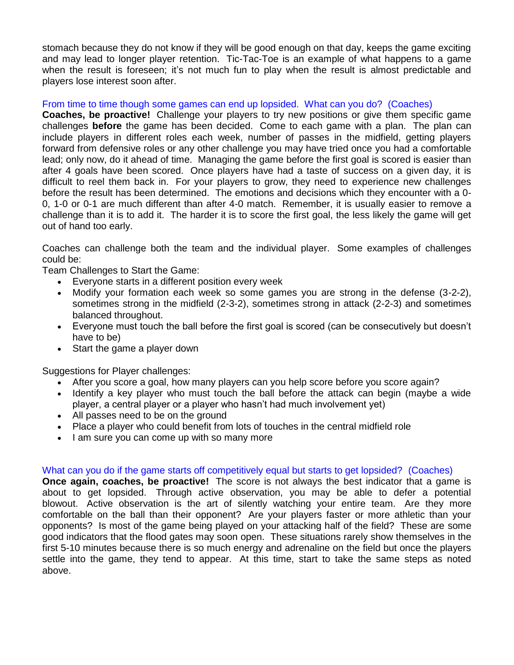stomach because they do not know if they will be good enough on that day, keeps the game exciting and may lead to longer player retention. Tic-Tac-Toe is an example of what happens to a game when the result is foreseen; it's not much fun to play when the result is almost predictable and players lose interest soon after.

# From time to time though some games can end up lopsided. What can you do? (Coaches)

**Coaches, be proactive!** Challenge your players to try new positions or give them specific game challenges **before** the game has been decided. Come to each game with a plan. The plan can include players in different roles each week, number of passes in the midfield, getting players forward from defensive roles or any other challenge you may have tried once you had a comfortable lead; only now, do it ahead of time. Managing the game before the first goal is scored is easier than after 4 goals have been scored. Once players have had a taste of success on a given day, it is difficult to reel them back in. For your players to grow, they need to experience new challenges before the result has been determined. The emotions and decisions which they encounter with a 0- 0, 1-0 or 0-1 are much different than after 4-0 match. Remember, it is usually easier to remove a challenge than it is to add it. The harder it is to score the first goal, the less likely the game will get out of hand too early.

Coaches can challenge both the team and the individual player. Some examples of challenges could be:

Team Challenges to Start the Game:

- Everyone starts in a different position every week
- Modify your formation each week so some games you are strong in the defense (3-2-2), sometimes strong in the midfield (2-3-2), sometimes strong in attack (2-2-3) and sometimes balanced throughout.
- Everyone must touch the ball before the first goal is scored (can be consecutively but doesn't have to be)
- Start the game a player down

Suggestions for Player challenges:

- After you score a goal, how many players can you help score before you score again?
- Identify a key player who must touch the ball before the attack can begin (maybe a wide player, a central player or a player who hasn't had much involvement yet)
- All passes need to be on the ground
- Place a player who could benefit from lots of touches in the central midfield role
- I am sure you can come up with so many more

# What can you do if the game starts off competitively equal but starts to get lopsided? (Coaches)

**Once again, coaches, be proactive!** The score is not always the best indicator that a game is about to get lopsided. Through active observation, you may be able to defer a potential blowout. Active observation is the art of silently watching your entire team. Are they more comfortable on the ball than their opponent? Are your players faster or more athletic than your opponents? Is most of the game being played on your attacking half of the field? These are some good indicators that the flood gates may soon open. These situations rarely show themselves in the first 5-10 minutes because there is so much energy and adrenaline on the field but once the players settle into the game, they tend to appear. At this time, start to take the same steps as noted above.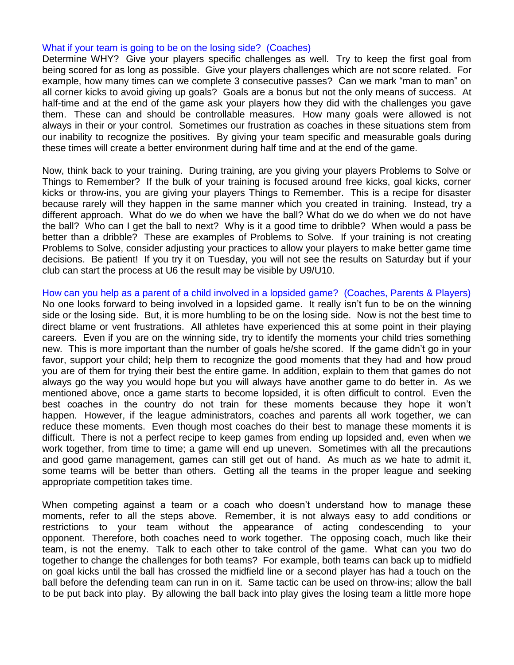#### What if your team is going to be on the losing side? (Coaches)

Determine WHY? Give your players specific challenges as well. Try to keep the first goal from being scored for as long as possible. Give your players challenges which are not score related. For example, how many times can we complete 3 consecutive passes? Can we mark "man to man" on all corner kicks to avoid giving up goals? Goals are a bonus but not the only means of success. At half-time and at the end of the game ask your players how they did with the challenges you gave them. These can and should be controllable measures. How many goals were allowed is not always in their or your control. Sometimes our frustration as coaches in these situations stem from our inability to recognize the positives. By giving your team specific and measurable goals during these times will create a better environment during half time and at the end of the game.

Now, think back to your training. During training, are you giving your players Problems to Solve or Things to Remember? If the bulk of your training is focused around free kicks, goal kicks, corner kicks or throw-ins, you are giving your players Things to Remember. This is a recipe for disaster because rarely will they happen in the same manner which you created in training. Instead, try a different approach. What do we do when we have the ball? What do we do when we do not have the ball? Who can I get the ball to next? Why is it a good time to dribble? When would a pass be better than a dribble? These are examples of Problems to Solve. If your training is not creating Problems to Solve, consider adjusting your practices to allow your players to make better game time decisions. Be patient! If you try it on Tuesday, you will not see the results on Saturday but if your club can start the process at U6 the result may be visible by U9/U10.

How can you help as a parent of a child involved in a lopsided game? (Coaches, Parents & Players) No one looks forward to being involved in a lopsided game. It really isn't fun to be on the winning side or the losing side. But, it is more humbling to be on the losing side. Now is not the best time to direct blame or vent frustrations. All athletes have experienced this at some point in their playing careers. Even if you are on the winning side, try to identify the moments your child tries something new. This is more important than the number of goals he/she scored. If the game didn't go in your favor, support your child; help them to recognize the good moments that they had and how proud you are of them for trying their best the entire game. In addition, explain to them that games do not always go the way you would hope but you will always have another game to do better in. As we mentioned above, once a game starts to become lopsided, it is often difficult to control. Even the best coaches in the country do not train for these moments because they hope it won't happen. However, if the league administrators, coaches and parents all work together, we can reduce these moments. Even though most coaches do their best to manage these moments it is difficult. There is not a perfect recipe to keep games from ending up lopsided and, even when we work together, from time to time; a game will end up uneven. Sometimes with all the precautions and good game management, games can still get out of hand. As much as we hate to admit it, some teams will be better than others. Getting all the teams in the proper league and seeking appropriate competition takes time.

When competing against a team or a coach who doesn't understand how to manage these moments, refer to all the steps above. Remember, it is not always easy to add conditions or restrictions to your team without the appearance of acting condescending to your opponent. Therefore, both coaches need to work together. The opposing coach, much like their team, is not the enemy. Talk to each other to take control of the game. What can you two do together to change the challenges for both teams? For example, both teams can back up to midfield on goal kicks until the ball has crossed the midfield line or a second player has had a touch on the ball before the defending team can run in on it. Same tactic can be used on throw-ins; allow the ball to be put back into play. By allowing the ball back into play gives the losing team a little more hope